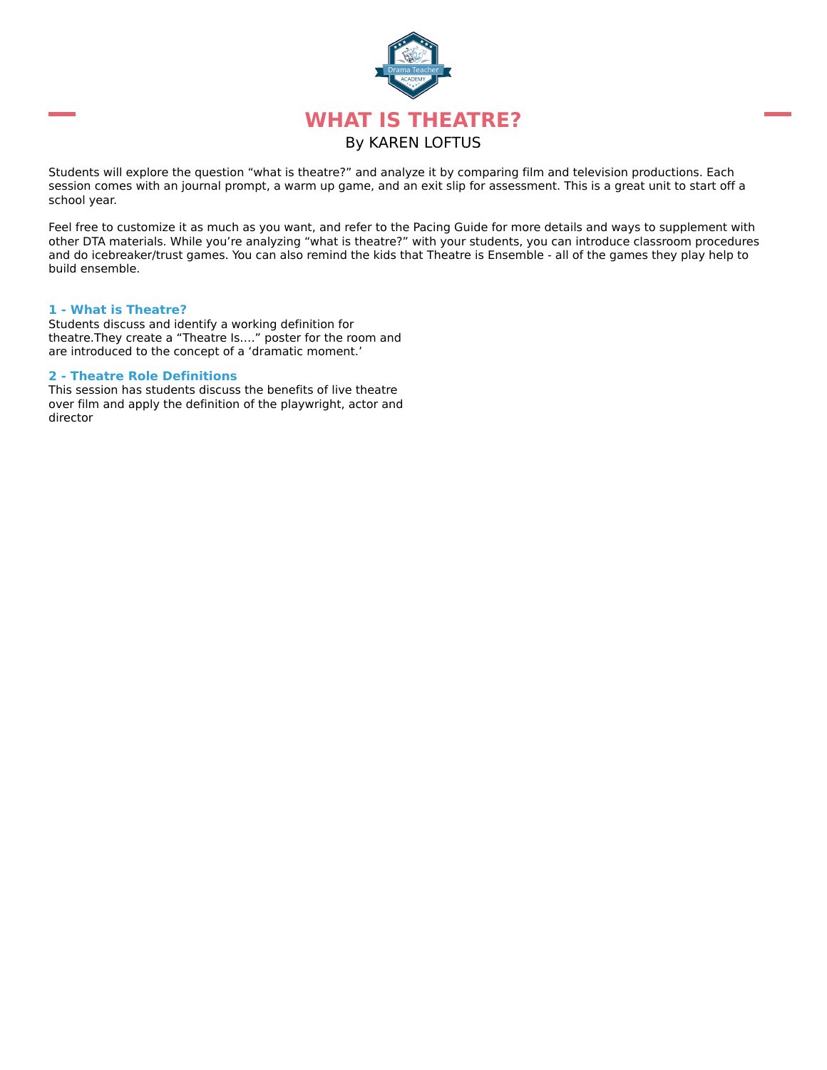

Students will explore the question "what is theatre?" and analyze it by comparing film and television productions. Each session comes with an journal prompt, a warm up game, and an exit slip for assessment. This is a great unit to start off a school year.

Feel free to customize it as much as you want, and refer to the Pacing Guide for more details and ways to supplement with other DTA materials. While you're analyzing "what is theatre?" with your students, you can introduce classroom procedures and do icebreaker/trust games. You can also remind the kids that Theatre is Ensemble - all of the games they play help to build ensemble.

#### **1 - What is Theatre?**

Students discuss and identify a working definition for theatre.They create a "Theatre Is…." poster for the room and are introduced to the concept of a 'dramatic moment.'

#### **2 - Theatre Role Definitions**

This session has students discuss the benefits of live theatre over film and apply the definition of the playwright, actor and director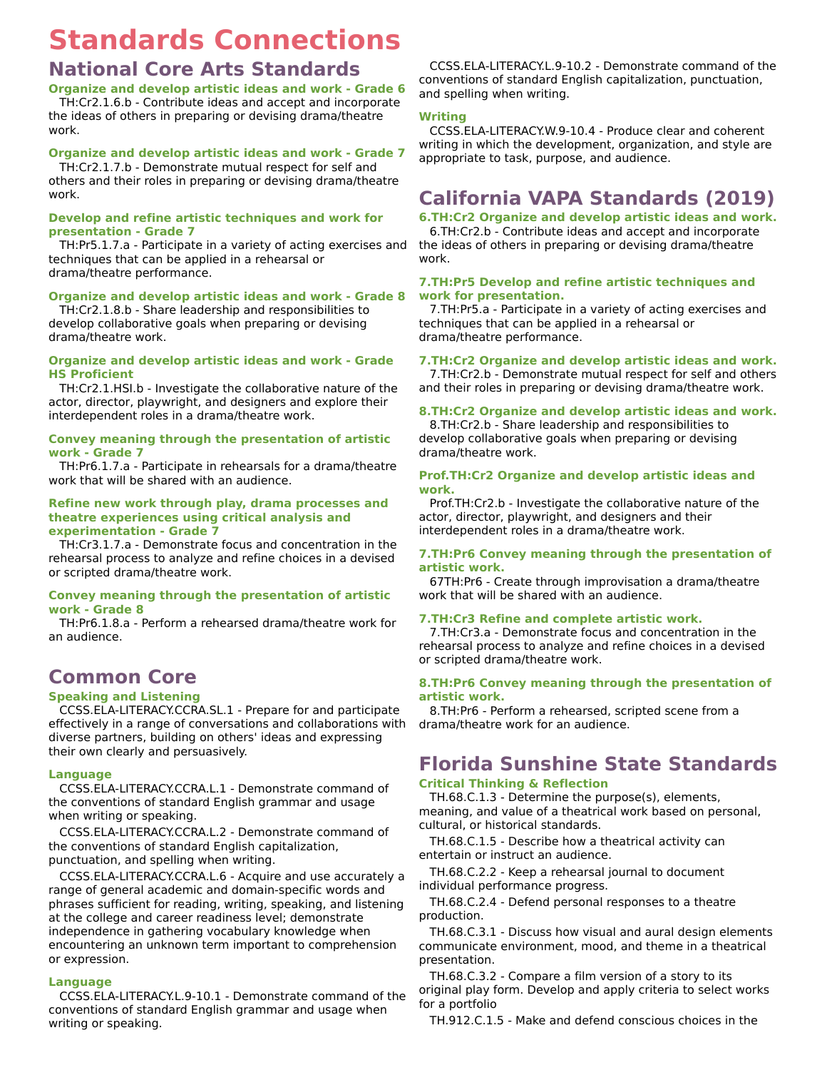# **Standards Connections**

# **National Core Arts Standards**

**Organize and develop artistic ideas and work - Grade 6** TH:Cr2.1.6.b - Contribute ideas and accept and incorporate

the ideas of others in preparing or devising drama/theatre work.

## **Organize and develop artistic ideas and work - Grade 7**

TH:Cr2.1.7.b - Demonstrate mutual respect for self and others and their roles in preparing or devising drama/theatre work.

## **Develop and refine artistic techniques and work for presentation - Grade 7**

TH:Pr5.1.7.a - Participate in a variety of acting exercises and techniques that can be applied in a rehearsal or drama/theatre performance.

## **Organize and develop artistic ideas and work - Grade 8**

TH:Cr2.1.8.b - Share leadership and responsibilities to develop collaborative goals when preparing or devising drama/theatre work.

## **Organize and develop artistic ideas and work - Grade HS Proficient**

TH:Cr2.1.HSI.b - Investigate the collaborative nature of the actor, director, playwright, and designers and explore their interdependent roles in a drama/theatre work.

## **Convey meaning through the presentation of artistic work - Grade 7**

TH:Pr6.1.7.a - Participate in rehearsals for a drama/theatre work that will be shared with an audience.

#### **Refine new work through play, drama processes and theatre experiences using critical analysis and experimentation - Grade 7**

TH:Cr3.1.7.a - Demonstrate focus and concentration in the rehearsal process to analyze and refine choices in a devised or scripted drama/theatre work.

## **Convey meaning through the presentation of artistic work - Grade 8**

TH:Pr6.1.8.a - Perform a rehearsed drama/theatre work for an audience.

# **Common Core**

## **Speaking and Listening**

CCSS.ELA-LITERACY.CCRA.SL.1 - Prepare for and participate effectively in a range of conversations and collaborations with diverse partners, building on others' ideas and expressing their own clearly and persuasively.

## **Language**

CCSS.ELA-LITERACY.CCRA.L.1 - Demonstrate command of the conventions of standard English grammar and usage when writing or speaking.

CCSS.ELA-LITERACY.CCRA.L.2 - Demonstrate command of the conventions of standard English capitalization, punctuation, and spelling when writing.

CCSS.ELA-LITERACY.CCRA.L.6 - Acquire and use accurately a range of general academic and domain-specific words and phrases sufficient for reading, writing, speaking, and listening at the college and career readiness level; demonstrate independence in gathering vocabulary knowledge when encountering an unknown term important to comprehension or expression.

## **Language**

CCSS.ELA-LITERACY.L.9-10.1 - Demonstrate command of the conventions of standard English grammar and usage when writing or speaking.

CCSS.ELA-LITERACY.L.9-10.2 - Demonstrate command of the conventions of standard English capitalization, punctuation, and spelling when writing.

## **Writing**

CCSS.ELA-LITERACY.W.9-10.4 - Produce clear and coherent writing in which the development, organization, and style are appropriate to task, purpose, and audience.

# **California VAPA Standards (2019)**

**6.TH:Cr2 Organize and develop artistic ideas and work.** 6.TH:Cr2.b - Contribute ideas and accept and incorporate the ideas of others in preparing or devising drama/theatre work.

## **7.TH:Pr5 Develop and refine artistic techniques and work for presentation.**

7.TH:Pr5.a - Participate in a variety of acting exercises and techniques that can be applied in a rehearsal or drama/theatre performance.

## **7.TH:Cr2 Organize and develop artistic ideas and work.**

7.TH:Cr2.b - Demonstrate mutual respect for self and others and their roles in preparing or devising drama/theatre work.

## **8.TH:Cr2 Organize and develop artistic ideas and work.**

8.TH:Cr2.b - Share leadership and responsibilities to develop collaborative goals when preparing or devising drama/theatre work.

#### **Prof.TH:Cr2 Organize and develop artistic ideas and work.**

Prof.TH:Cr2.b - Investigate the collaborative nature of the actor, director, playwright, and designers and their interdependent roles in a drama/theatre work.

#### **7.TH:Pr6 Convey meaning through the presentation of artistic work.**

67TH:Pr6 - Create through improvisation a drama/theatre work that will be shared with an audience.

## **7.TH:Cr3 Refine and complete artistic work.**

7.TH:Cr3.a - Demonstrate focus and concentration in the rehearsal process to analyze and refine choices in a devised or scripted drama/theatre work.

## **8.TH:Pr6 Convey meaning through the presentation of artistic work.**

8.TH:Pr6 - Perform a rehearsed, scripted scene from a drama/theatre work for an audience.

# **Florida Sunshine State Standards**

## **Critical Thinking & Reflection**

TH.68.C.1.3 - Determine the purpose(s), elements, meaning, and value of a theatrical work based on personal, cultural, or historical standards.

TH.68.C.1.5 - Describe how a theatrical activity can entertain or instruct an audience.

TH.68.C.2.2 - Keep a rehearsal journal to document individual performance progress.

TH.68.C.2.4 - Defend personal responses to a theatre production.

TH.68.C.3.1 - Discuss how visual and aural design elements communicate environment, mood, and theme in a theatrical presentation.

TH.68.C.3.2 - Compare a film version of a story to its original play form. Develop and apply criteria to select works for a portfolio

TH.912.C.1.5 - Make and defend conscious choices in the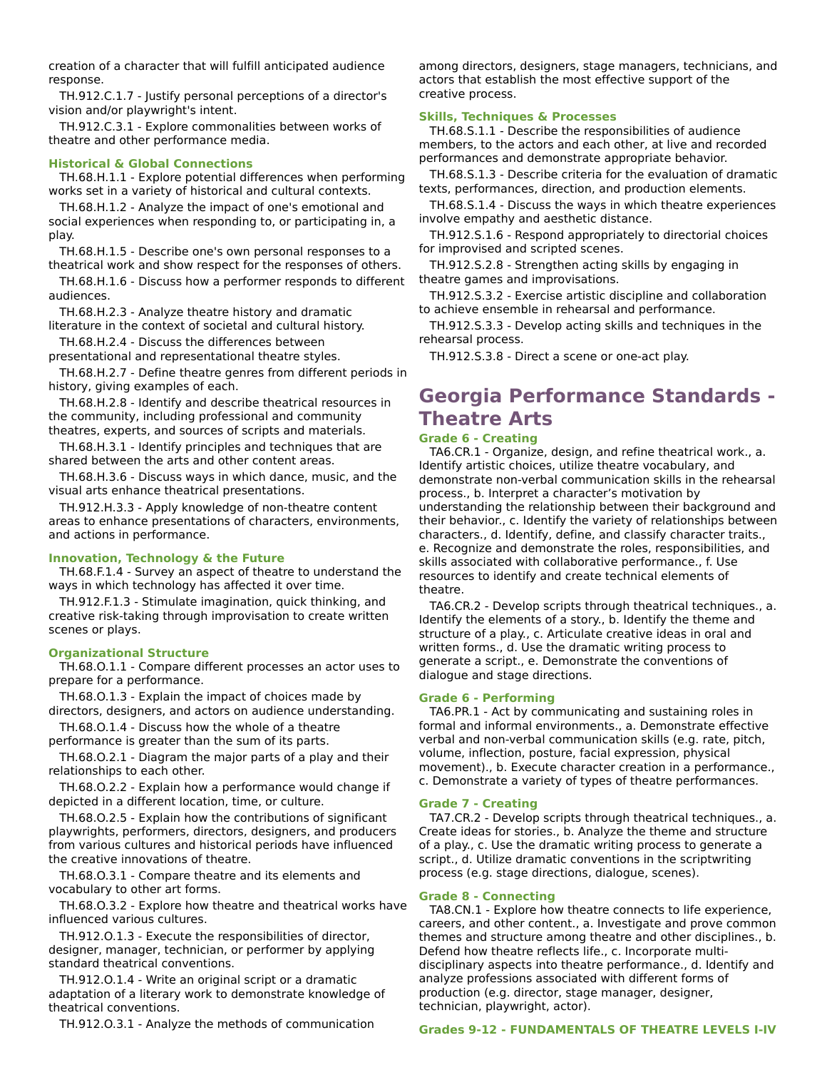creation of a character that will fulfill anticipated audience response.

TH.912.C.1.7 - Justify personal perceptions of a director's vision and/or playwright's intent.

TH.912.C.3.1 - Explore commonalities between works of theatre and other performance media.

#### **Historical & Global Connections**

TH.68.H.1.1 - Explore potential differences when performing works set in a variety of historical and cultural contexts.

TH.68.H.1.2 - Analyze the impact of one's emotional and social experiences when responding to, or participating in, a play.

TH.68.H.1.5 - Describe one's own personal responses to a theatrical work and show respect for the responses of others.

TH.68.H.1.6 - Discuss how a performer responds to different audiences.

TH.68.H.2.3 - Analyze theatre history and dramatic literature in the context of societal and cultural history.

TH.68.H.2.4 - Discuss the differences between

presentational and representational theatre styles.

TH.68.H.2.7 - Define theatre genres from different periods in history, giving examples of each.

TH.68.H.2.8 - Identify and describe theatrical resources in the community, including professional and community theatres, experts, and sources of scripts and materials.

TH.68.H.3.1 - Identify principles and techniques that are shared between the arts and other content areas.

TH.68.H.3.6 - Discuss ways in which dance, music, and the visual arts enhance theatrical presentations.

TH.912.H.3.3 - Apply knowledge of non-theatre content areas to enhance presentations of characters, environments, and actions in performance.

#### **Innovation, Technology & the Future**

TH.68.F.1.4 - Survey an aspect of theatre to understand the ways in which technology has affected it over time.

TH.912.F.1.3 - Stimulate imagination, quick thinking, and creative risk-taking through improvisation to create written scenes or plays.

#### **Organizational Structure**

TH.68.O.1.1 - Compare different processes an actor uses to prepare for a performance.

TH.68.O.1.3 - Explain the impact of choices made by directors, designers, and actors on audience understanding.

TH.68.O.1.4 - Discuss how the whole of a theatre performance is greater than the sum of its parts.

TH.68.O.2.1 - Diagram the major parts of a play and their relationships to each other.

TH.68.O.2.2 - Explain how a performance would change if depicted in a different location, time, or culture.

TH.68.O.2.5 - Explain how the contributions of significant playwrights, performers, directors, designers, and producers from various cultures and historical periods have influenced the creative innovations of theatre.

TH.68.O.3.1 - Compare theatre and its elements and vocabulary to other art forms.

TH.68.O.3.2 - Explore how theatre and theatrical works have influenced various cultures.

TH.912.O.1.3 - Execute the responsibilities of director, designer, manager, technician, or performer by applying standard theatrical conventions.

TH.912.O.1.4 - Write an original script or a dramatic adaptation of a literary work to demonstrate knowledge of theatrical conventions.

TH.912.O.3.1 - Analyze the methods of communication

among directors, designers, stage managers, technicians, and actors that establish the most effective support of the creative process.

#### **Skills, Techniques & Processes**

TH.68.S.1.1 - Describe the responsibilities of audience members, to the actors and each other, at live and recorded performances and demonstrate appropriate behavior.

TH.68.S.1.3 - Describe criteria for the evaluation of dramatic texts, performances, direction, and production elements.

TH.68.S.1.4 - Discuss the ways in which theatre experiences involve empathy and aesthetic distance.

TH.912.S.1.6 - Respond appropriately to directorial choices for improvised and scripted scenes.

TH.912.S.2.8 - Strengthen acting skills by engaging in theatre games and improvisations.

TH.912.S.3.2 - Exercise artistic discipline and collaboration to achieve ensemble in rehearsal and performance.

TH.912.S.3.3 - Develop acting skills and techniques in the rehearsal process.

TH.912.S.3.8 - Direct a scene or one-act play.

# **Georgia Performance Standards - Theatre Arts**

## **Grade 6 - Creating**

TA6.CR.1 - Organize, design, and refine theatrical work., a. Identify artistic choices, utilize theatre vocabulary, and demonstrate non-verbal communication skills in the rehearsal process., b. Interpret a character's motivation by understanding the relationship between their background and their behavior., c. Identify the variety of relationships between characters., d. Identify, define, and classify character traits., e. Recognize and demonstrate the roles, responsibilities, and skills associated with collaborative performance., f. Use resources to identify and create technical elements of theatre.

TA6.CR.2 - Develop scripts through theatrical techniques., a. Identify the elements of a story., b. Identify the theme and structure of a play., c. Articulate creative ideas in oral and written forms., d. Use the dramatic writing process to generate a script., e. Demonstrate the conventions of dialogue and stage directions.

#### **Grade 6 - Performing**

TA6.PR.1 - Act by communicating and sustaining roles in formal and informal environments., a. Demonstrate effective verbal and non-verbal communication skills (e.g. rate, pitch, volume, inflection, posture, facial expression, physical movement)., b. Execute character creation in a performance., c. Demonstrate a variety of types of theatre performances.

#### **Grade 7 - Creating**

TA7.CR.2 - Develop scripts through theatrical techniques., a. Create ideas for stories., b. Analyze the theme and structure of a play., c. Use the dramatic writing process to generate a script., d. Utilize dramatic conventions in the scriptwriting process (e.g. stage directions, dialogue, scenes).

#### **Grade 8 - Connecting**

TA8.CN.1 - Explore how theatre connects to life experience, careers, and other content., a. Investigate and prove common themes and structure among theatre and other disciplines., b. Defend how theatre reflects life., c. Incorporate multidisciplinary aspects into theatre performance., d. Identify and analyze professions associated with different forms of production (e.g. director, stage manager, designer, technician, playwright, actor).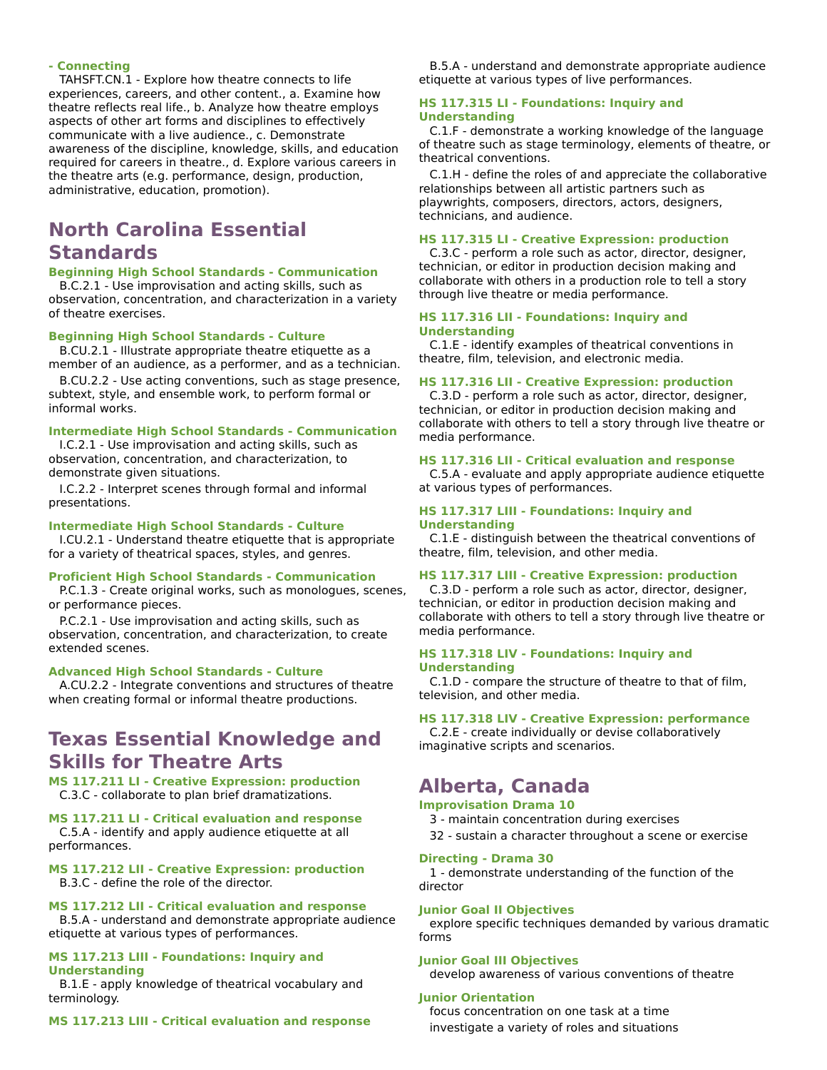## **- Connecting**

TAHSFT.CN.1 - Explore how theatre connects to life experiences, careers, and other content., a. Examine how theatre reflects real life., b. Analyze how theatre employs aspects of other art forms and disciplines to effectively communicate with a live audience., c. Demonstrate awareness of the discipline, knowledge, skills, and education required for careers in theatre., d. Explore various careers in the theatre arts (e.g. performance, design, production, administrative, education, promotion).

# **North Carolina Essential Standards**

## **Beginning High School Standards - Communication**

B.C.2.1 - Use improvisation and acting skills, such as observation, concentration, and characterization in a variety of theatre exercises.

#### **Beginning High School Standards - Culture**

B.CU.2.1 - Illustrate appropriate theatre etiquette as a member of an audience, as a performer, and as a technician.

B.CU.2.2 - Use acting conventions, such as stage presence, subtext, style, and ensemble work, to perform formal or informal works.

#### **Intermediate High School Standards - Communication**

I.C.2.1 - Use improvisation and acting skills, such as observation, concentration, and characterization, to demonstrate given situations.

I.C.2.2 - Interpret scenes through formal and informal presentations.

#### **Intermediate High School Standards - Culture**

I.CU.2.1 - Understand theatre etiquette that is appropriate for a variety of theatrical spaces, styles, and genres.

#### **Proficient High School Standards - Communication**

P.C.1.3 - Create original works, such as monologues, scenes, or performance pieces.

P.C.2.1 - Use improvisation and acting skills, such as observation, concentration, and characterization, to create extended scenes.

## **Advanced High School Standards - Culture**

A.CU.2.2 - Integrate conventions and structures of theatre when creating formal or informal theatre productions.

## **Texas Essential Knowledge and Skills for Theatre Arts**

**MS 117.211 LI - Creative Expression: production** C.3.C - collaborate to plan brief dramatizations.

**MS 117.211 LI - Critical evaluation and response** C.5.A - identify and apply audience etiquette at all performances.

**MS 117.212 LII - Creative Expression: production** B.3.C - define the role of the director.

## **MS 117.212 LII - Critical evaluation and response**

B.5.A - understand and demonstrate appropriate audience etiquette at various types of performances.

#### **MS 117.213 LIII - Foundations: Inquiry and Understanding**

B.1.E - apply knowledge of theatrical vocabulary and terminology.

**MS 117.213 LIII - Critical evaluation and response**

B.5.A - understand and demonstrate appropriate audience etiquette at various types of live performances.

#### **HS 117.315 LI - Foundations: Inquiry and Understanding**

C.1.F - demonstrate a working knowledge of the language of theatre such as stage terminology, elements of theatre, or theatrical conventions.

C.1.H - define the roles of and appreciate the collaborative relationships between all artistic partners such as playwrights, composers, directors, actors, designers, technicians, and audience.

#### **HS 117.315 LI - Creative Expression: production**

C.3.C - perform a role such as actor, director, designer, technician, or editor in production decision making and collaborate with others in a production role to tell a story through live theatre or media performance.

#### **HS 117.316 LII - Foundations: Inquiry and Understanding**

C.1.E - identify examples of theatrical conventions in theatre, film, television, and electronic media.

#### **HS 117.316 LII - Creative Expression: production**

C.3.D - perform a role such as actor, director, designer, technician, or editor in production decision making and collaborate with others to tell a story through live theatre or media performance.

#### **HS 117.316 LII - Critical evaluation and response**

C.5.A - evaluate and apply appropriate audience etiquette at various types of performances.

#### **HS 117.317 LIII - Foundations: Inquiry and Understanding**

C.1.E - distinguish between the theatrical conventions of theatre, film, television, and other media.

#### **HS 117.317 LIII - Creative Expression: production**

C.3.D - perform a role such as actor, director, designer, technician, or editor in production decision making and collaborate with others to tell a story through live theatre or media performance.

#### **HS 117.318 LIV - Foundations: Inquiry and Understanding**

C.1.D - compare the structure of theatre to that of film, television, and other media.

#### **HS 117.318 LIV - Creative Expression: performance**

C.2.E - create individually or devise collaboratively imaginative scripts and scenarios.

## **Alberta, Canada**

#### **Improvisation Drama 10**

3 - maintain concentration during exercises

32 - sustain a character throughout a scene or exercise

#### **Directing - Drama 30**

1 - demonstrate understanding of the function of the director

#### **Junior Goal II Objectives**

explore specific techniques demanded by various dramatic forms

#### **Junior Goal III Objectives**

develop awareness of various conventions of theatre

#### **Junior Orientation**

focus concentration on one task at a time investigate a variety of roles and situations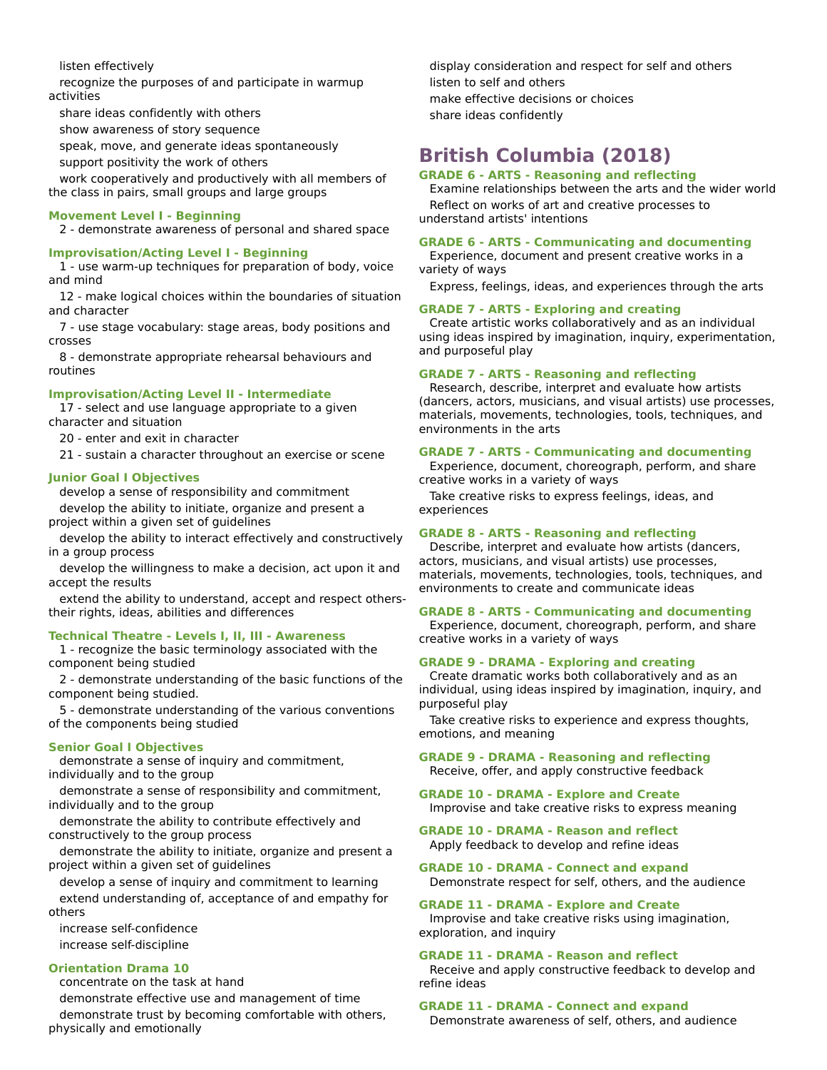listen effectively

recognize the purposes of and participate in warmup activities

share ideas confidently with others

show awareness of story sequence

speak, move, and generate ideas spontaneously

support positivity the work of others

work cooperatively and productively with all members of the class in pairs, small groups and large groups

## **Movement Level I - Beginning**

2 - demonstrate awareness of personal and shared space

## **Improvisation/Acting Level I - Beginning**

1 - use warm-up techniques for preparation of body, voice and mind

12 - make logical choices within the boundaries of situation and character

7 - use stage vocabulary: stage areas, body positions and crosses

8 - demonstrate appropriate rehearsal behaviours and routines

#### **Improvisation/Acting Level II - Intermediate**

17 - select and use language appropriate to a given character and situation

20 - enter and exit in character

21 - sustain a character throughout an exercise or scene

#### **Junior Goal I Objectives**

develop a sense of responsibility and commitment

develop the ability to initiate, organize and present a project within a given set of guidelines

develop the ability to interact effectively and constructively in a group process

develop the willingness to make a decision, act upon it and accept the results

extend the ability to understand, accept and respect otherstheir rights, ideas, abilities and differences

#### **Technical Theatre - Levels I, II, III - Awareness**

1 - recognize the basic terminology associated with the component being studied

2 - demonstrate understanding of the basic functions of the component being studied.

5 - demonstrate understanding of the various conventions of the components being studied

#### **Senior Goal I Objectives**

demonstrate a sense of inquiry and commitment, individually and to the group

demonstrate a sense of responsibility and commitment, individually and to the group

demonstrate the ability to contribute effectively and constructively to the group process

demonstrate the ability to initiate, organize and present a project within a given set of guidelines

develop a sense of inquiry and commitment to learning extend understanding of, acceptance of and empathy for others

increase self-confidence increase self-discipline

## **Orientation Drama 10**

concentrate on the task at hand

demonstrate effective use and management of time demonstrate trust by becoming comfortable with others, physically and emotionally

display consideration and respect for self and others listen to self and others make effective decisions or choices

share ideas confidently

# **British Columbia (2018)**

#### **GRADE 6 - ARTS - Reasoning and reflecting**

Examine relationships between the arts and the wider world Reflect on works of art and creative processes to understand artists' intentions

#### **GRADE 6 - ARTS - Communicating and documenting**

Experience, document and present creative works in a variety of ways

Express, feelings, ideas, and experiences through the arts

#### **GRADE 7 - ARTS - Exploring and creating**

Create artistic works collaboratively and as an individual using ideas inspired by imagination, inquiry, experimentation, and purposeful play

#### **GRADE 7 - ARTS - Reasoning and reflecting**

Research, describe, interpret and evaluate how artists (dancers, actors, musicians, and visual artists) use processes, materials, movements, technologies, tools, techniques, and environments in the arts

#### **GRADE 7 - ARTS - Communicating and documenting**

Experience, document, choreograph, perform, and share creative works in a variety of ways

Take creative risks to express feelings, ideas, and experiences

#### **GRADE 8 - ARTS - Reasoning and reflecting**

Describe, interpret and evaluate how artists (dancers, actors, musicians, and visual artists) use processes, materials, movements, technologies, tools, techniques, and environments to create and communicate ideas

## **GRADE 8 - ARTS - Communicating and documenting**

Experience, document, choreograph, perform, and share creative works in a variety of ways

#### **GRADE 9 - DRAMA - Exploring and creating**

Create dramatic works both collaboratively and as an individual, using ideas inspired by imagination, inquiry, and purposeful play

Take creative risks to experience and express thoughts, emotions, and meaning

#### **GRADE 9 - DRAMA - Reasoning and reflecting** Receive, offer, and apply constructive feedback

**GRADE 10 - DRAMA - Explore and Create** Improvise and take creative risks to express meaning

#### **GRADE 10 - DRAMA - Reason and reflect** Apply feedback to develop and refine ideas

**GRADE 10 - DRAMA - Connect and expand** Demonstrate respect for self, others, and the audience

## **GRADE 11 - DRAMA - Explore and Create**

Improvise and take creative risks using imagination, exploration, and inquiry

#### **GRADE 11 - DRAMA - Reason and reflect**

Receive and apply constructive feedback to develop and refine ideas

#### **GRADE 11 - DRAMA - Connect and expand**

Demonstrate awareness of self, others, and audience